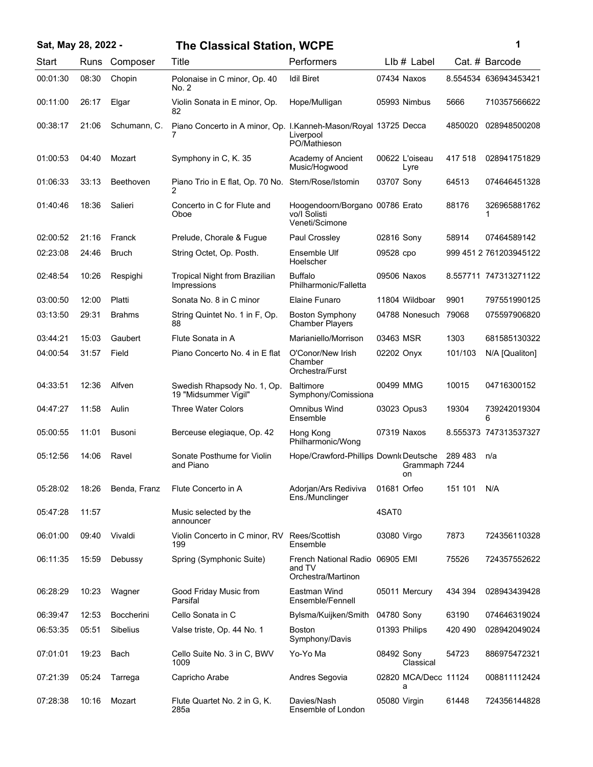| Sat, May 28, 2022 - |       |                   | <b>The Classical Station, WCPE</b>                              |                                                                   |              |                           |         | 1                      |
|---------------------|-------|-------------------|-----------------------------------------------------------------|-------------------------------------------------------------------|--------------|---------------------------|---------|------------------------|
| Start               | Runs  | Composer          | Title                                                           | Performers                                                        |              | $Llb#$ Label              |         | Cat. # Barcode         |
| 00:01:30            | 08:30 | Chopin            | Polonaise in C minor, Op. 40<br>No. 2                           | <b>Idil Biret</b>                                                 |              | 07434 Naxos               |         | 8.554534 636943453421  |
| 00:11:00            | 26:17 | Elgar             | Violin Sonata in E minor, Op.<br>82                             | Hope/Mulligan                                                     |              | 05993 Nimbus              | 5666    | 710357566622           |
| 00:38:17            | 21:06 | Schumann, C.      | Piano Concerto in A minor, Op. I.Kanneh-Mason/Royal 13725 Decca | Liverpool<br>PO/Mathieson                                         |              |                           | 4850020 | 028948500208           |
| 01:00:53            | 04:40 | Mozart            | Symphony in C, K. 35                                            | Academy of Ancient<br>Music/Hogwood                               |              | 00622 L'oiseau<br>Lyre    | 417 518 | 028941751829           |
| 01:06:33            | 33:13 | Beethoven         | Piano Trio in E flat, Op. 70 No.<br>2                           | Stern/Rose/Istomin                                                | 03707 Sony   |                           | 64513   | 074646451328           |
| 01:40:46            | 18:36 | Salieri           | Concerto in C for Flute and<br>Oboe                             | Hoogendoorn/Borgano 00786 Erato<br>vo/I Solisti<br>Veneti/Scimone |              |                           | 88176   | 326965881762<br>1      |
| 02:00:52            | 21:16 | Franck            | Prelude, Chorale & Fugue                                        | Paul Crossley                                                     | 02816 Sony   |                           | 58914   | 07464589142            |
| 02:23:08            | 24:46 | <b>Bruch</b>      | String Octet, Op. Posth.                                        | Ensemble Ulf<br>Hoelscher                                         | 09528 cpo    |                           |         | 999 451 2 761203945122 |
| 02:48:54            | 10:26 | Respighi          | <b>Tropical Night from Brazilian</b><br>Impressions             | <b>Buffalo</b><br>Philharmonic/Falletta                           |              | 09506 Naxos               |         | 8.557711 747313271122  |
| 03:00:50            | 12:00 | Platti            | Sonata No. 8 in C minor                                         | Elaine Funaro                                                     |              | 11804 Wildboar            | 9901    | 797551990125           |
| 03:13:50            | 29:31 | <b>Brahms</b>     | String Quintet No. 1 in F, Op.<br>88                            | <b>Boston Symphony</b><br><b>Chamber Players</b>                  |              | 04788 Nonesuch 79068      |         | 075597906820           |
| 03:44:21            | 15:03 | Gaubert           | Flute Sonata in A                                               | Marianiello/Morrison                                              | 03463 MSR    |                           | 1303    | 681585130322           |
| 04:00:54            | 31:57 | Field             | Piano Concerto No. 4 in E flat                                  | O'Conor/New Irish<br>Chamber<br>Orchestra/Furst                   | 02202 Onyx   |                           | 101/103 | N/A [Qualiton]         |
| 04:33:51            | 12:36 | Alfven            | Swedish Rhapsody No. 1, Op.<br>19 "Midsummer Vigil"             | <b>Baltimore</b><br>Symphony/Comissiona                           | 00499 MMG    |                           | 10015   | 04716300152            |
| 04:47:27            | 11:58 | Aulin             | Three Water Colors                                              | Omnibus Wind<br>Ensemble                                          |              | 03023 Opus3               | 19304   | 739242019304<br>6      |
| 05:00:55            | 11:01 | <b>Busoni</b>     | Berceuse elegiaque, Op. 42                                      | Hong Kong<br>Philharmonic/Wong                                    |              | 07319 Naxos               |         | 8.555373 747313537327  |
| 05:12:56            | 14:06 | Ravel             | Sonate Posthume for Violin<br>and Piano                         | Hope/Crawford-Phillips Downk Deutsche                             |              | Grammaph 7244             | 289 483 | n/a                    |
| 05:28:02            | 18:26 | Benda, Franz      | Flute Concerto in A                                             | Adorjan/Ars Rediviva<br>Ens./Munclinger                           | 01681 Orfeo  |                           | 151 101 | N/A                    |
| 05:47:28            | 11:57 |                   | Music selected by the<br>announcer                              |                                                                   | 4SAT0        |                           |         |                        |
| 06:01:00            | 09:40 | Vivaldi           | Violin Concerto in C minor, RV<br>199                           | Rees/Scottish<br>Ensemble                                         | 03080 Virgo  |                           | 7873    | 724356110328           |
| 06:11:35            | 15:59 | Debussy           | Spring (Symphonic Suite)                                        | French National Radio 06905 EMI<br>and TV<br>Orchestra/Martinon   |              |                           | 75526   | 724357552622           |
| 06:28:29            | 10:23 | Wagner            | Good Friday Music from<br>Parsifal                              | Eastman Wind<br>Ensemble/Fennell                                  |              | 05011 Mercury             | 434 394 | 028943439428           |
| 06:39:47            | 12:53 | <b>Boccherini</b> | Cello Sonata in C                                               | Bylsma/Kuijken/Smith                                              | 04780 Sony   |                           | 63190   | 074646319024           |
| 06:53:35            | 05:51 | Sibelius          | Valse triste, Op. 44 No. 1                                      | Boston<br>Symphony/Davis                                          |              | 01393 Philips             | 420 490 | 028942049024           |
| 07:01:01            | 19:23 | Bach              | Cello Suite No. 3 in C, BWV<br>1009                             | Yo-Yo Ma                                                          | 08492 Sony   | Classical                 | 54723   | 886975472321           |
| 07:21:39            | 05:24 | Tarrega           | Capricho Arabe                                                  | Andres Segovia                                                    |              | 02820 MCA/Decc 11124<br>а |         | 008811112424           |
| 07:28:38            | 10:16 | Mozart            | Flute Quartet No. 2 in G, K.<br>285a                            | Davies/Nash<br>Ensemble of London                                 | 05080 Virgin |                           | 61448   | 724356144828           |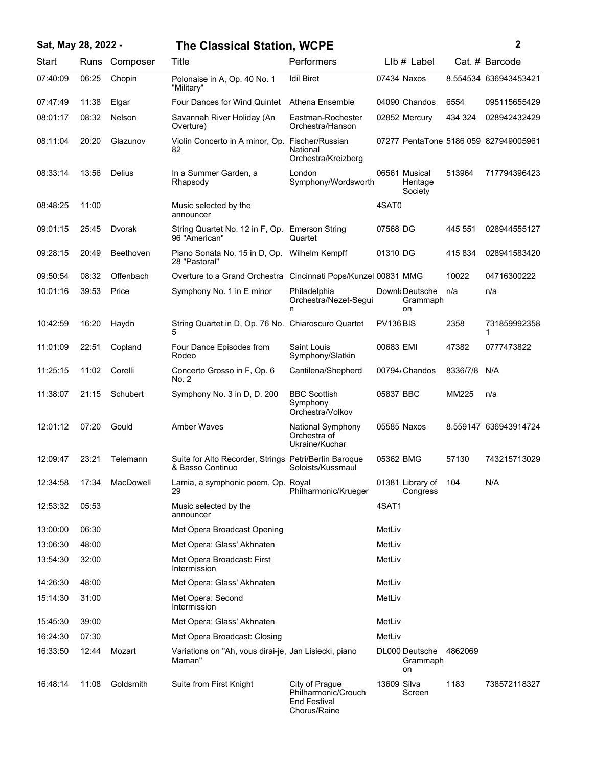| Sat, May 28, 2022 - |       |           | <b>The Classical Station, WCPE</b>                                        |                                                                              |             | 2                                    |          |                                       |
|---------------------|-------|-----------|---------------------------------------------------------------------------|------------------------------------------------------------------------------|-------------|--------------------------------------|----------|---------------------------------------|
| Start               | Runs  | Composer  | Title                                                                     | Performers                                                                   |             | $Llb#$ Label                         |          | Cat. # Barcode                        |
| 07:40:09            | 06:25 | Chopin    | Polonaise in A. Op. 40 No. 1<br>"Military"                                | <b>Idil Biret</b>                                                            |             | 07434 Naxos                          |          | 8.554534 636943453421                 |
| 07:47:49            | 11:38 | Elgar     | Four Dances for Wind Quintet                                              | Athena Ensemble                                                              |             | 04090 Chandos                        | 6554     | 095115655429                          |
| 08:01:17            | 08:32 | Nelson    | Savannah River Holiday (An<br>Overture)                                   | Eastman-Rochester<br>Orchestra/Hanson                                        |             | 02852 Mercury                        | 434 324  | 028942432429                          |
| 08:11:04            | 20:20 | Glazunov  | Violin Concerto in A minor, Op. Fischer/Russian<br>82                     | National<br>Orchestra/Kreizberg                                              |             |                                      |          | 07277 PentaTone 5186 059 827949005961 |
| 08:33:14            | 13:56 | Delius    | In a Summer Garden, a<br>Rhapsody                                         | London<br>Symphony/Wordsworth                                                |             | 06561 Musical<br>Heritage<br>Society | 513964   | 717794396423                          |
| 08:48:25            | 11:00 |           | Music selected by the<br>announcer                                        |                                                                              | 4SAT0       |                                      |          |                                       |
| 09:01:15            | 25:45 | Dvorak    | String Quartet No. 12 in F, Op. Emerson String<br>96 "American"           | Quartet                                                                      | 07568 DG    |                                      | 445 551  | 028944555127                          |
| 09:28:15            | 20:49 | Beethoven | Piano Sonata No. 15 in D, Op.<br>28 "Pastoral"                            | Wilhelm Kempff                                                               | 01310 DG    |                                      | 415834   | 028941583420                          |
| 09:50:54            | 08:32 | Offenbach | Overture to a Grand Orchestra Cincinnati Pops/Kunzel 00831 MMG            |                                                                              |             |                                      | 10022    | 04716300222                           |
| 10:01:16            | 39:53 | Price     | Symphony No. 1 in E minor                                                 | Philadelphia<br>Orchestra/Nezet-Segui<br>n                                   |             | Downk Deutsche<br>Grammaph<br>on     | n/a      | n/a                                   |
| 10:42:59            | 16:20 | Haydn     | String Quartet in D, Op. 76 No. Chiaroscuro Quartet<br>5                  |                                                                              | PV136 BIS   |                                      | 2358     | 731859992358<br>1                     |
| 11:01:09            | 22:51 | Copland   | Four Dance Episodes from<br>Rodeo                                         | Saint Louis<br>Symphony/Slatkin                                              | 00683 EMI   |                                      | 47382    | 0777473822                            |
| 11:25:15            | 11:02 | Corelli   | Concerto Grosso in F, Op. 6<br>No. 2                                      | Cantilena/Shepherd                                                           |             | 00794/Chandos                        | 8336/7/8 | N/A                                   |
| 11:38:07            | 21:15 | Schubert  | Symphony No. 3 in D, D. 200                                               | <b>BBC Scottish</b><br>Symphony<br>Orchestra/Volkov                          | 05837 BBC   |                                      | MM225    | n/a                                   |
| 12:01:12            | 07:20 | Gould     | <b>Amber Waves</b>                                                        | <b>National Symphony</b><br>Orchestra of<br>Ukraine/Kuchar                   |             | 05585 Naxos                          |          | 8.559147 636943914724                 |
| 12:09:47            | 23:21 | Telemann  | Suite for Alto Recorder, Strings Petri/Berlin Baroque<br>& Basso Continuo | Soloists/Kussmaul                                                            | 05362 BMG   |                                      | 57130    | 743215713029                          |
| 12:34:58            | 17:34 | MacDowell | Lamia, a symphonic poem, Op. Royal<br>29                                  | Philharmonic/Krueger                                                         |             | 01381 Library of<br>Congress         | 104      | N/A                                   |
| 12:53:32            | 05:53 |           | Music selected by the<br>announcer                                        |                                                                              | 4SAT1       |                                      |          |                                       |
| 13:00:00            | 06:30 |           | Met Opera Broadcast Opening                                               |                                                                              | MetLiv      |                                      |          |                                       |
| 13:06:30            | 48:00 |           | Met Opera: Glass' Akhnaten                                                |                                                                              | MetLiv      |                                      |          |                                       |
| 13:54:30            | 32:00 |           | Met Opera Broadcast: First<br>Intermission                                |                                                                              | MetLiv      |                                      |          |                                       |
| 14:26:30            | 48:00 |           | Met Opera: Glass' Akhnaten                                                |                                                                              | MetLiv      |                                      |          |                                       |
| 15:14:30            | 31:00 |           | Met Opera: Second<br>Intermission                                         |                                                                              | MetLiv      |                                      |          |                                       |
| 15:45:30            | 39:00 |           | Met Opera: Glass' Akhnaten                                                |                                                                              | MetLiv      |                                      |          |                                       |
| 16:24:30            | 07:30 |           | Met Opera Broadcast: Closing                                              |                                                                              | MetLiv      |                                      |          |                                       |
| 16:33:50            | 12:44 | Mozart    | Variations on "Ah, vous dirai-je, Jan Lisiecki, piano<br>Maman"           |                                                                              |             | DL000 Deutsche<br>Grammaph<br>on     | 4862069  |                                       |
| 16:48:14            | 11:08 | Goldsmith | Suite from First Knight                                                   | City of Prague<br>Philharmonic/Crouch<br><b>End Festival</b><br>Chorus/Raine | 13609 Silva | Screen                               | 1183     | 738572118327                          |